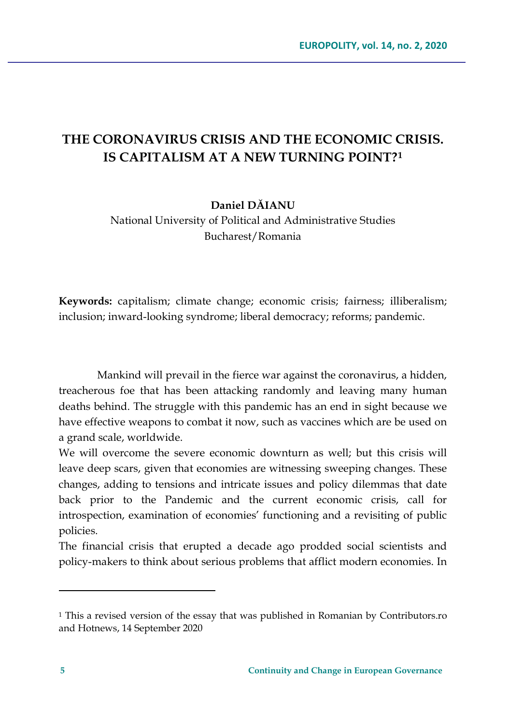# **THE CORONAVIRUS CRISIS AND THE ECONOMIC CRISIS. IS CAPITALISM AT A NEW TURNING POINT?[1](#page-0-0)**

**Daniel DĂIANU**

National University of Political and Administrative Studies Bucharest/Romania

**Keywords:** capitalism; climate change; economic crisis; fairness; illiberalism; inclusion; inward-looking syndrome; liberal democracy; reforms; pandemic.

Mankind will prevail in the fierce war against the coronavirus, a hidden, treacherous foe that has been attacking randomly and leaving many human deaths behind. The struggle with this pandemic has an end in sight because we have effective weapons to combat it now, such as vaccines which are be used on a grand scale, worldwide.

We will overcome the severe economic downturn as well; but this crisis will leave deep scars, given that economies are witnessing sweeping changes. These changes, adding to tensions and intricate issues and policy dilemmas that date back prior to the Pandemic and the current economic crisis, call for introspection, examination of economies' functioning and a revisiting of public policies.

The financial crisis that erupted a decade ago prodded social scientists and policy-makers to think about serious problems that afflict modern economies. In

<span id="page-0-0"></span><sup>1</sup> This a revised version of the essay that was published in Romanian by Contributors.ro and Hotnews, 14 September 2020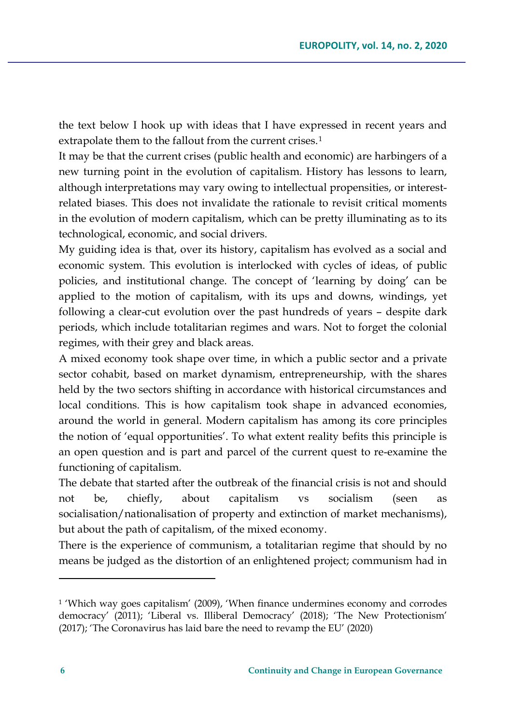the text below I hook up with ideas that I have expressed in recent years and extrapolate them to the fallout from the current crises.<sup>[1](#page-1-0)</sup>

It may be that the current crises (public health and economic) are harbingers of a new turning point in the evolution of capitalism. History has lessons to learn, although interpretations may vary owing to intellectual propensities, or interestrelated biases. This does not invalidate the rationale to revisit critical moments in the evolution of modern capitalism, which can be pretty illuminating as to its technological, economic, and social drivers.

My guiding idea is that, over its history, capitalism has evolved as a social and economic system. This evolution is interlocked with cycles of ideas, of public policies, and institutional change. The concept of 'learning by doing' can be applied to the motion of capitalism, with its ups and downs, windings, yet following a clear-cut evolution over the past hundreds of years – despite dark periods, which include totalitarian regimes and wars. Not to forget the colonial regimes, with their grey and black areas.

A mixed economy took shape over time, in which a public sector and a private sector cohabit, based on market dynamism, entrepreneurship, with the shares held by the two sectors shifting in accordance with historical circumstances and local conditions. This is how capitalism took shape in advanced economies, around the world in general. Modern capitalism has among its core principles the notion of 'equal opportunities'. To what extent reality befits this principle is an open question and is part and parcel of the current quest to re-examine the functioning of capitalism.

The debate that started after the outbreak of the financial crisis is not and should not be, chiefly, about capitalism vs socialism (seen as socialisation/nationalisation of property and extinction of market mechanisms), but about the path of capitalism, of the mixed economy.

There is the experience of communism, a totalitarian regime that should by no means be judged as the distortion of an enlightened project; communism had in

<span id="page-1-0"></span><sup>1</sup> 'Which way goes capitalism' (2009), 'When finance undermines economy and corrodes democracy' (2011); 'Liberal vs. Illiberal Democracy' (2018); 'The New Protectionism' (2017); 'The Coronavirus has laid bare the need to revamp the EU' (2020)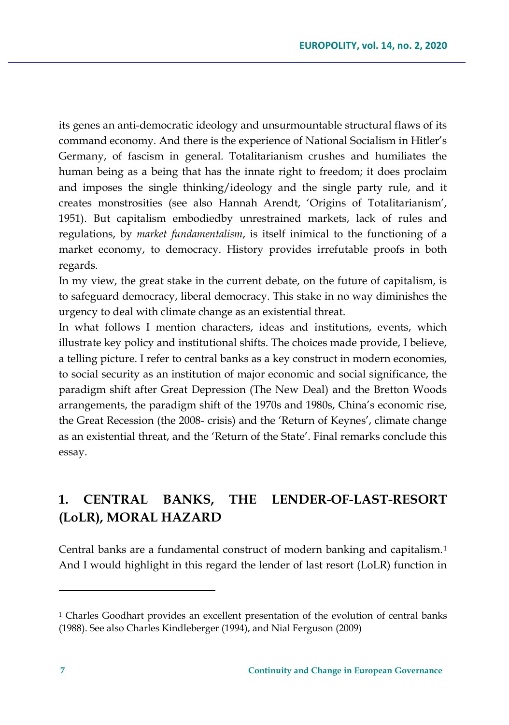its genes an anti-democratic ideology and unsurmountable structural flaws of its command economy. And there is the experience of National Socialism in Hitler's Germany, of fascism in general. Totalitarianism crushes and humiliates the human being as a being that has the innate right to freedom; it does proclaim and imposes the single thinking/ideology and the single party rule, and it creates monstrosities (see also Hannah Arendt, 'Origins of Totalitarianism', 1951). But capitalism embodiedby unrestrained markets, lack of rules and regulations, by *market fundamentalism*, is itself inimical to the functioning of a market economy, to democracy. History provides irrefutable proofs in both regards.

In my view, the great stake in the current debate, on the future of capitalism, is to safeguard democracy, liberal democracy. This stake in no way diminishes the urgency to deal with climate change as an existential threat.

In what follows I mention characters, ideas and institutions, events, which illustrate key policy and institutional shifts. The choices made provide, I believe, a telling picture. I refer to central banks as a key construct in modern economies, to social security as an institution of major economic and social significance, the paradigm shift after Great Depression (The New Deal) and the Bretton Woods arrangements, the paradigm shift of the 1970s and 1980s, China's economic rise, the Great Recession (the 2008- crisis) and the 'Return of Keynes', climate change as an existential threat, and the 'Return of the State'. Final remarks conclude this essay.

# **1. CENTRAL BANKS, THE LENDER-OF-LAST-RESORT (LoLR), MORAL HAZARD**

Central banks are a fundamental construct of modern banking and capitalism.[1](#page-2-0) And I would highlight in this regard the lender of last resort (LoLR) function in

<span id="page-2-0"></span><sup>1</sup> Charles Goodhart provides an excellent presentation of the evolution of central banks (1988). See also Charles Kindleberger (1994), and Nial Ferguson (2009)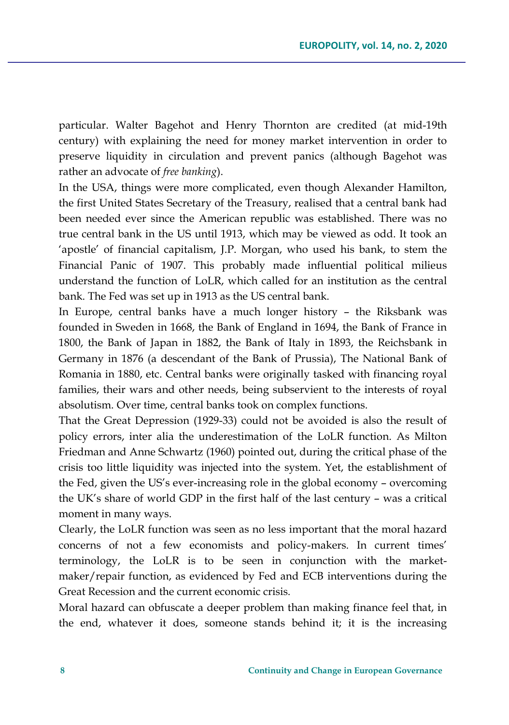particular. Walter Bagehot and Henry Thornton are credited (at mid-19th century) with explaining the need for money market intervention in order to preserve liquidity in circulation and prevent panics (although Bagehot was rather an advocate of *free banking*).

In the USA, things were more complicated, even though Alexander Hamilton, the first United States Secretary of the Treasury, realised that a central bank had been needed ever since the American republic was established. There was no true central bank in the US until 1913, which may be viewed as odd. It took an 'apostle' of financial capitalism, J.P. Morgan, who used his bank, to stem the Financial Panic of 1907. This probably made influential political milieus understand the function of LoLR, which called for an institution as the central bank. The Fed was set up in 1913 as the US central bank.

In Europe, central banks have a much longer history – the Riksbank was founded in Sweden in 1668, the Bank of England in 1694, the Bank of France in 1800, the Bank of Japan in 1882, the Bank of Italy in 1893, the Reichsbank in Germany in 1876 (a descendant of the Bank of Prussia), The National Bank of Romania in 1880, etc. Central banks were originally tasked with financing royal families, their wars and other needs, being subservient to the interests of royal absolutism. Over time, central banks took on complex functions.

That the Great Depression (1929-33) could not be avoided is also the result of policy errors, inter alia the underestimation of the LoLR function. As Milton Friedman and Anne Schwartz (1960) pointed out, during the critical phase of the crisis too little liquidity was injected into the system. Yet, the establishment of the Fed, given the US's ever-increasing role in the global economy – overcoming the UK's share of world GDP in the first half of the last century – was a critical moment in many ways.

Clearly, the LoLR function was seen as no less important that the moral hazard concerns of not a few economists and policy-makers. In current times' terminology, the LoLR is to be seen in conjunction with the marketmaker/repair function, as evidenced by Fed and ECB interventions during the Great Recession and the current economic crisis.

Moral hazard can obfuscate a deeper problem than making finance feel that, in the end, whatever it does, someone stands behind it; it is the increasing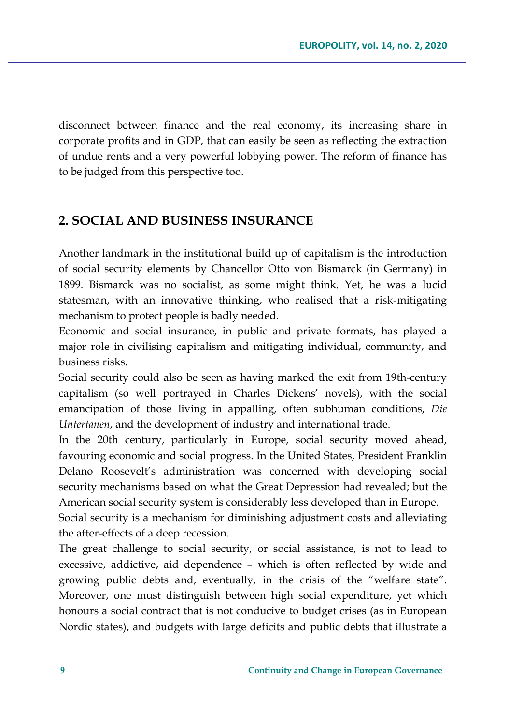disconnect between finance and the real economy, its increasing share in corporate profits and in GDP, that can easily be seen as reflecting the extraction of undue rents and a very powerful lobbying power. The reform of finance has to be judged from this perspective too.

## **2. SOCIAL AND BUSINESS INSURANCE**

Another landmark in the institutional build up of capitalism is the introduction of social security elements by Chancellor Otto von Bismarck (in Germany) in 1899. Bismarck was no socialist, as some might think. Yet, he was a lucid statesman, with an innovative thinking, who realised that a risk-mitigating mechanism to protect people is badly needed.

Economic and social insurance, in public and private formats, has played a major role in civilising capitalism and mitigating individual, community, and business risks.

Social security could also be seen as having marked the exit from 19th-century capitalism (so well portrayed in Charles Dickens' novels), with the social emancipation of those living in appalling, often subhuman conditions, *Die Untertanen*, and the development of industry and international trade.

In the 20th century, particularly in Europe, social security moved ahead, favouring economic and social progress. In the United States, President Franklin Delano Roosevelt's administration was concerned with developing social security mechanisms based on what the Great Depression had revealed; but the American social security system is considerably less developed than in Europe.

Social security is a mechanism for diminishing adjustment costs and alleviating the after-effects of a deep recession.

The great challenge to social security, or social assistance, is not to lead to excessive, addictive, aid dependence – which is often reflected by wide and growing public debts and, eventually, in the crisis of the "welfare state". Moreover, one must distinguish between high social expenditure, yet which honours a social contract that is not conducive to budget crises (as in European Nordic states), and budgets with large deficits and public debts that illustrate a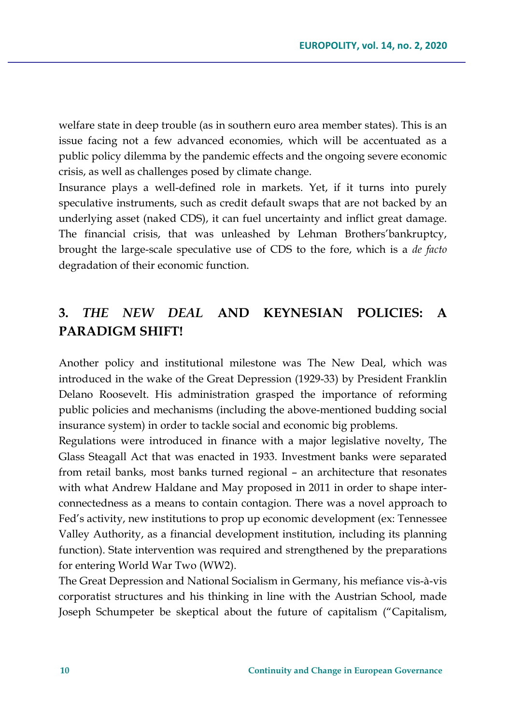welfare state in deep trouble (as in southern euro area member states). This is an issue facing not a few advanced economies, which will be accentuated as a public policy dilemma by the pandemic effects and the ongoing severe economic crisis, as well as challenges posed by climate change.

Insurance plays a well-defined role in markets. Yet, if it turns into purely speculative instruments, such as credit default swaps that are not backed by an underlying asset (naked CDS), it can fuel uncertainty and inflict great damage. The financial crisis, that was unleashed by Lehman Brothers'bankruptcy, brought the large-scale speculative use of CDS to the fore, which is a *de facto* degradation of their economic function.

# **3.** *THE NEW DEAL* **AND KEYNESIAN POLICIES: A PARADIGM SHIFT!**

Another policy and institutional milestone was The New Deal, which was introduced in the wake of the Great Depression (1929-33) by President Franklin Delano Roosevelt. His administration grasped the importance of reforming public policies and mechanisms (including the above-mentioned budding social insurance system) in order to tackle social and economic big problems.

Regulations were introduced in finance with a major legislative novelty, The Glass Steagall Act that was enacted in 1933. Investment banks were separated from retail banks, most banks turned regional – an architecture that resonates with what Andrew Haldane and May proposed in 2011 in order to shape interconnectedness as a means to contain contagion. There was a novel approach to Fed's activity, new institutions to prop up economic development (ex: Tennessee Valley Authority, as a financial development institution, including its planning function). State intervention was required and strengthened by the preparations for entering World War Two (WW2).

The Great Depression and National Socialism in Germany, his mefiance vis-à-vis corporatist structures and his thinking in line with the Austrian School, made Joseph Schumpeter be skeptical about the future of capitalism ("Capitalism,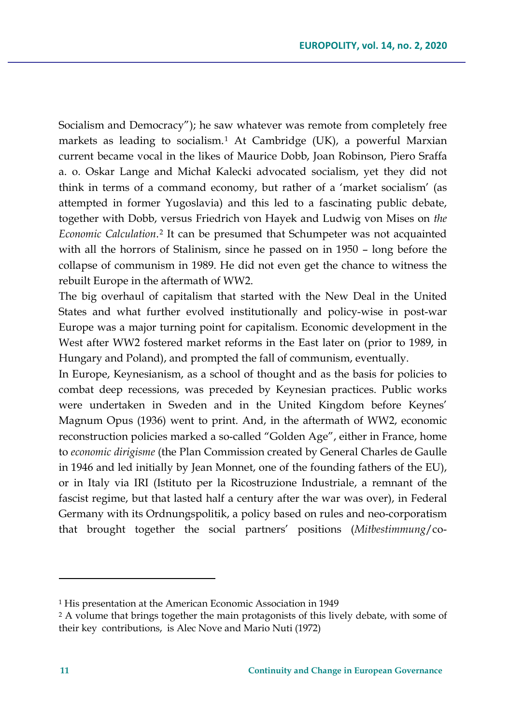Socialism and Democracy"); he saw whatever was remote from completely free markets as leading to socialism.[1](#page-6-0) At Cambridge (UK), a powerful Marxian current became vocal in the likes of Maurice Dobb, Joan Robinson, Piero Sraffa a. o. Oskar Lange and Michał Kalecki advocated socialism, yet they did not think in terms of a command economy, but rather of a 'market socialism' (as attempted in former Yugoslavia) and this led to a fascinating public debate, together with Dobb, versus Friedrich von Hayek and Ludwig von Mises on *the Economic Calculation*.[2](#page-6-1) It can be presumed that Schumpeter was not acquainted with all the horrors of Stalinism, since he passed on in 1950 – long before the collapse of communism in 1989. He did not even get the chance to witness the rebuilt Europe in the aftermath of WW2.

The big overhaul of capitalism that started with the New Deal in the United States and what further evolved institutionally and policy-wise in post-war Europe was a major turning point for capitalism. Economic development in the West after WW2 fostered market reforms in the East later on (prior to 1989, in Hungary and Poland), and prompted the fall of communism, eventually.

In Europe, Keynesianism, as a school of thought and as the basis for policies to combat deep recessions, was preceded by Keynesian practices. Public works were undertaken in Sweden and in the United Kingdom before Keynes' Magnum Opus (1936) went to print. And, in the aftermath of WW2, economic reconstruction policies marked a so-called "Golden Age", either in France, home to *economic dirigisme* (the Plan Commission created by General Charles de Gaulle in 1946 and led initially by Jean Monnet, one of the founding fathers of the EU), or in Italy via IRI (Istituto per la Ricostruzione Industriale, a remnant of the fascist regime, but that lasted half a century after the war was over), in Federal Germany with its Ordnungspolitik, a policy based on rules and neo-corporatism that brought together the social partners' positions (*Mitbestimmung*/co-

<span id="page-6-0"></span><sup>1</sup> His presentation at the American Economic Association in 1949

<span id="page-6-1"></span><sup>2</sup> A volume that brings together the main protagonists of this lively debate, with some of their key contributions, is Alec Nove and Mario Nuti (1972)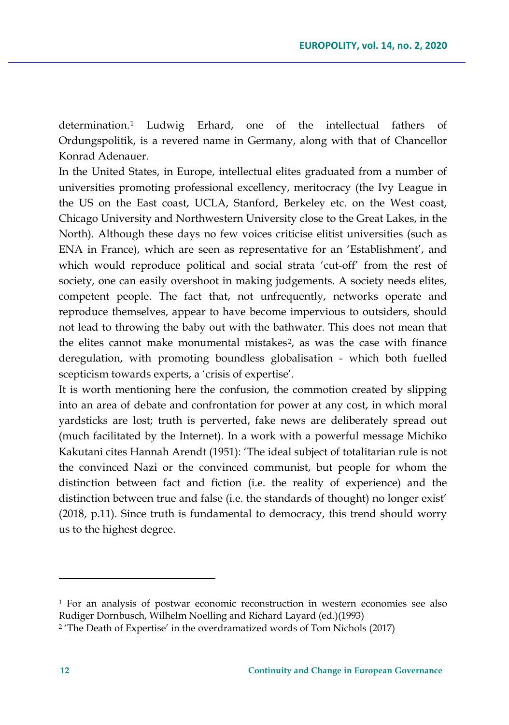determination.[1](#page-7-0) Ludwig Erhard, one of the intellectual fathers of Ordungspolitik, is a revered name in Germany, along with that of Chancellor Konrad Adenauer.

In the United States, in Europe, intellectual elites graduated from a number of universities promoting professional excellency, meritocracy (the Ivy League in the US on the East coast, UCLA, Stanford, Berkeley etc. on the West coast, Chicago University and Northwestern University close to the Great Lakes, in the North). Although these days no few voices criticise elitist universities (such as ENA in France), which are seen as representative for an 'Establishment', and which would reproduce political and social strata 'cut-off' from the rest of society, one can easily overshoot in making judgements. A society needs elites, competent people. The fact that, not unfrequently, networks operate and reproduce themselves, appear to have become impervious to outsiders, should not lead to throwing the baby out with the bathwater. This does not mean that the elites cannot make monumental mistakes[2](#page-7-1), as was the case with finance deregulation, with promoting boundless globalisation - which both fuelled scepticism towards experts, a 'crisis of expertise'.

It is worth mentioning here the confusion, the commotion created by slipping into an area of debate and confrontation for power at any cost, in which moral yardsticks are lost; truth is perverted, fake news are deliberately spread out (much facilitated by the Internet). In a work with a powerful message Michiko Kakutani cites Hannah Arendt (1951): 'The ideal subject of totalitarian rule is not the convinced Nazi or the convinced communist, but people for whom the distinction between fact and fiction (i.e. the reality of experience) and the distinction between true and false (i.e. the standards of thought) no longer exist' (2018, p.11). Since truth is fundamental to democracy, this trend should worry us to the highest degree.

<span id="page-7-0"></span><sup>1</sup> For an analysis of postwar economic reconstruction in western economies see also Rudiger Dornbusch, Wilhelm Noelling and Richard Layard (ed.)(1993)

<span id="page-7-1"></span><sup>2</sup> 'The Death of Expertise' in the overdramatized words of Tom Nichols (2017)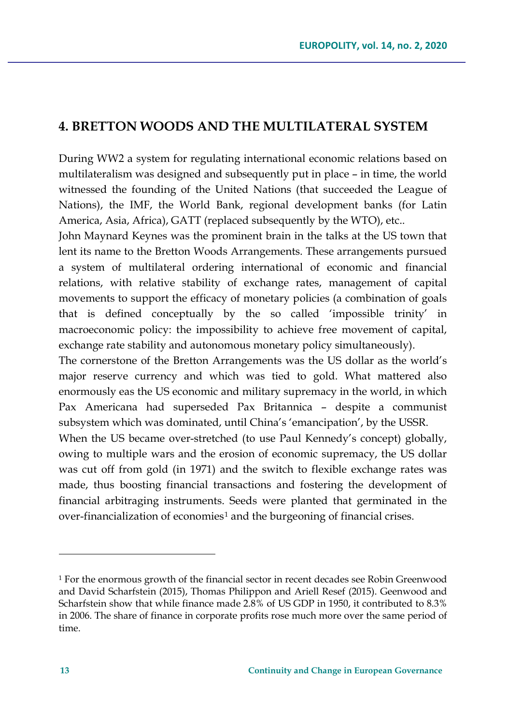## **4. BRETTON WOODS AND THE MULTILATERAL SYSTEM**

During WW2 a system for regulating international economic relations based on multilateralism was designed and subsequently put in place – in time, the world witnessed the founding of the United Nations (that succeeded the League of Nations), the IMF, the World Bank, regional development banks (for Latin America, Asia, Africa), GATT (replaced subsequently by the WTO), etc..

John Maynard Keynes was the prominent brain in the talks at the US town that lent its name to the Bretton Woods Arrangements. These arrangements pursued a system of multilateral ordering international of economic and financial relations, with relative stability of exchange rates, management of capital movements to support the efficacy of monetary policies (a combination of goals that is defined conceptually by the so called 'impossible trinity' in macroeconomic policy: the impossibility to achieve free movement of capital, exchange rate stability and autonomous monetary policy simultaneously).

The cornerstone of the Bretton Arrangements was the US dollar as the world's major reserve currency and which was tied to gold. What mattered also enormously eas the US economic and military supremacy in the world, in which Pax Americana had superseded Pax Britannica – despite a communist subsystem which was dominated, until China's 'emancipation', by the USSR.

When the US became over-stretched (to use Paul Kennedy's concept) globally, owing to multiple wars and the erosion of economic supremacy, the US dollar was cut off from gold (in 1971) and the switch to flexible exchange rates was made, thus boosting financial transactions and fostering the development of financial arbitraging instruments. Seeds were planted that germinated in the over-financialization of economies<sup>[1](#page-8-0)</sup> and the burgeoning of financial crises.

<span id="page-8-0"></span><sup>&</sup>lt;sup>1</sup> For the enormous growth of the financial sector in recent decades see Robin Greenwood and David Scharfstein (2015), Thomas Philippon and Ariell Resef (2015). Geenwood and Scharfstein show that while finance made 2.8% of US GDP in 1950, it contributed to 8.3% in 2006. The share of finance in corporate profits rose much more over the same period of time.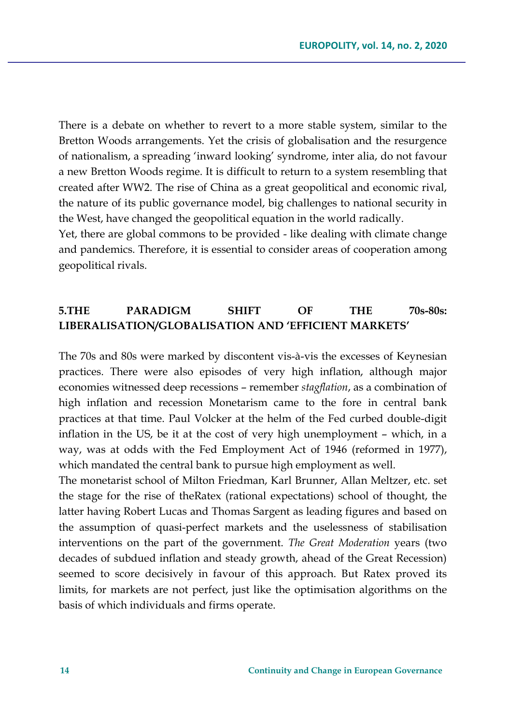There is a debate on whether to revert to a more stable system, similar to the Bretton Woods arrangements. Yet the crisis of globalisation and the resurgence of nationalism, a spreading 'inward looking' syndrome, inter alia, do not favour a new Bretton Woods regime. It is difficult to return to a system resembling that created after WW2. The rise of China as a great geopolitical and economic rival, the nature of its public governance model, big challenges to national security in the West, have changed the geopolitical equation in the world radically.

Yet, there are global commons to be provided - like dealing with climate change and pandemics. Therefore, it is essential to consider areas of cooperation among geopolitical rivals.

## **5.THE PARADIGM SHIFT OF THE 70s-80s: LIBERALISATION/GLOBALISATION AND 'EFFICIENT MARKETS'**

The 70s and 80s were marked by discontent vis-à-vis the excesses of Keynesian practices. There were also episodes of very high inflation, although major economies witnessed deep recessions – remember *stagflation*, as a combination of high inflation and recession Monetarism came to the fore in central bank practices at that time. Paul Volcker at the helm of the Fed curbed double-digit inflation in the US, be it at the cost of very high unemployment – which, in a way, was at odds with the Fed Employment Act of 1946 (reformed in 1977), which mandated the central bank to pursue high employment as well.

The monetarist school of Milton Friedman, Karl Brunner, Allan Meltzer, etc. set the stage for the rise of theRatex (rational expectations) school of thought, the latter having Robert Lucas and Thomas Sargent as leading figures and based on the assumption of quasi-perfect markets and the uselessness of stabilisation interventions on the part of the government. *The Great Moderation* years (two decades of subdued inflation and steady growth, ahead of the Great Recession) seemed to score decisively in favour of this approach. But Ratex proved its limits, for markets are not perfect, just like the optimisation algorithms on the basis of which individuals and firms operate.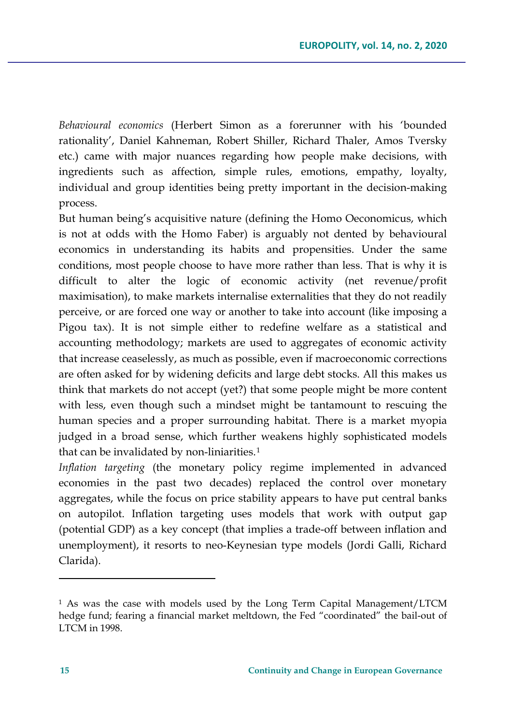*Behavioural economics* (Herbert Simon as a forerunner with his 'bounded rationality', Daniel Kahneman, Robert Shiller, Richard Thaler, Amos Tversky etc.) came with major nuances regarding how people make decisions, with ingredients such as affection, simple rules, emotions, empathy, loyalty, individual and group identities being pretty important in the decision-making process.

But human being's acquisitive nature (defining the Homo Oeconomicus, which is not at odds with the Homo Faber) is arguably not dented by behavioural economics in understanding its habits and propensities. Under the same conditions, most people choose to have more rather than less. That is why it is difficult to alter the logic of economic activity (net revenue/profit maximisation), to make markets internalise externalities that they do not readily perceive, or are forced one way or another to take into account (like imposing a Pigou tax). It is not simple either to redefine welfare as a statistical and accounting methodology; markets are used to aggregates of economic activity that increase ceaselessly, as much as possible, even if macroeconomic corrections are often asked for by widening deficits and large debt stocks. All this makes us think that markets do not accept (yet?) that some people might be more content with less, even though such a mindset might be tantamount to rescuing the human species and a proper surrounding habitat. There is a market myopia judged in a broad sense, which further weakens highly sophisticated models that can be invalidated by non-liniarities.<sup>[1](#page-10-0)</sup>

*Inflation targeting* (the monetary policy regime implemented in advanced economies in the past two decades) replaced the control over monetary aggregates, while the focus on price stability appears to have put central banks on autopilot. Inflation targeting uses models that work with output gap (potential GDP) as a key concept (that implies a trade-off between inflation and unemployment), it resorts to neo-Keynesian type models (Jordi Galli, Richard Clarida).

<span id="page-10-0"></span><sup>1</sup> As was the case with models used by the Long Term Capital Management/LTCM hedge fund; fearing a financial market meltdown, the Fed "coordinated" the bail-out of LTCM in 1998.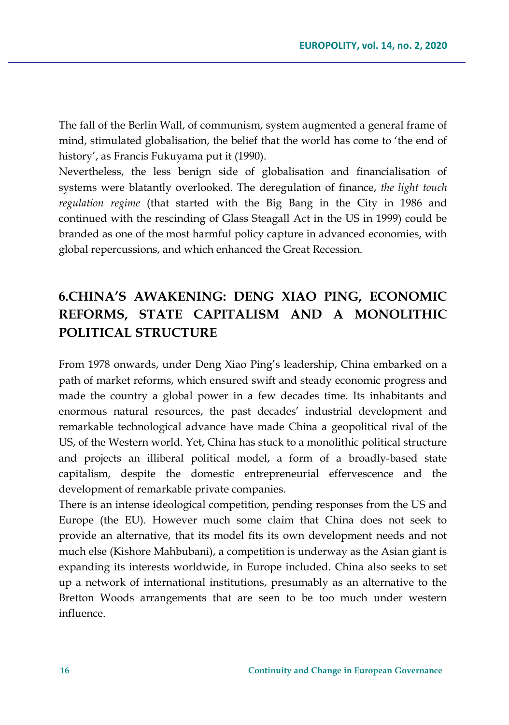The fall of the Berlin Wall, of communism, system augmented a general frame of mind, stimulated globalisation, the belief that the world has come to 'the end of history', as Francis Fukuyama put it (1990).

Nevertheless, the less benign side of globalisation and financialisation of systems were blatantly overlooked. The deregulation of finance, *the light touch regulation regime* (that started with the Big Bang in the City in 1986 and continued with the rescinding of Glass Steagall Act in the US in 1999) could be branded as one of the most harmful policy capture in advanced economies, with global repercussions, and which enhanced the Great Recession.

# **6.CHINA'S AWAKENING: DENG XIAO PING, ECONOMIC REFORMS, STATE CAPITALISM AND A MONOLITHIC POLITICAL STRUCTURE**

From 1978 onwards, under Deng Xiao Ping's leadership, China embarked on a path of market reforms, which ensured swift and steady economic progress and made the country a global power in a few decades time. Its inhabitants and enormous natural resources, the past decades' industrial development and remarkable technological advance have made China a geopolitical rival of the US, of the Western world. Yet, China has stuck to a monolithic political structure and projects an illiberal political model, a form of a broadly-based state capitalism, despite the domestic entrepreneurial effervescence and the development of remarkable private companies.

There is an intense ideological competition, pending responses from the US and Europe (the EU). However much some claim that China does not seek to provide an alternative, that its model fits its own development needs and not much else (Kishore Mahbubani), a competition is underway as the Asian giant is expanding its interests worldwide, in Europe included. China also seeks to set up a network of international institutions, presumably as an alternative to the Bretton Woods arrangements that are seen to be too much under western influence.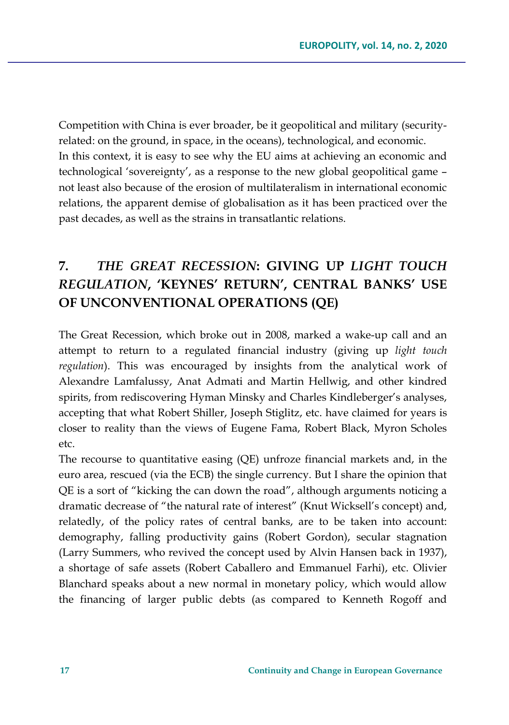Competition with China is ever broader, be it geopolitical and military (securityrelated: on the ground, in space, in the oceans), technological, and economic. In this context, it is easy to see why the EU aims at achieving an economic and technological 'sovereignty', as a response to the new global geopolitical game – not least also because of the erosion of multilateralism in international economic relations, the apparent demise of globalisation as it has been practiced over the past decades, as well as the strains in transatlantic relations.

# **7.** *THE GREAT RECESSION***: GIVING UP** *LIGHT TOUCH REGULATION***, 'KEYNES' RETURN', CENTRAL BANKS' USE OF UNCONVENTIONAL OPERATIONS (QE)**

The Great Recession, which broke out in 2008, marked a wake-up call and an attempt to return to a regulated financial industry (giving up *light touch regulation*). This was encouraged by insights from the analytical work of Alexandre Lamfalussy, Anat Admati and Martin Hellwig, and other kindred spirits, from rediscovering Hyman Minsky and Charles Kindleberger's analyses, accepting that what Robert Shiller, Joseph Stiglitz, etc. have claimed for years is closer to reality than the views of Eugene Fama, Robert Black, Myron Scholes etc.

The recourse to quantitative easing (QE) unfroze financial markets and, in the euro area, rescued (via the ECB) the single currency. But I share the opinion that QE is a sort of "kicking the can down the road", although arguments noticing a dramatic decrease of "the natural rate of interest" (Knut Wicksell's concept) and, relatedly, of the policy rates of central banks, are to be taken into account: demography, falling productivity gains (Robert Gordon), secular stagnation (Larry Summers, who revived the concept used by Alvin Hansen back in 1937), a shortage of safe assets (Robert Caballero and Emmanuel Farhi), etc. Olivier Blanchard speaks about a new normal in monetary policy, which would allow the financing of larger public debts (as compared to Kenneth Rogoff and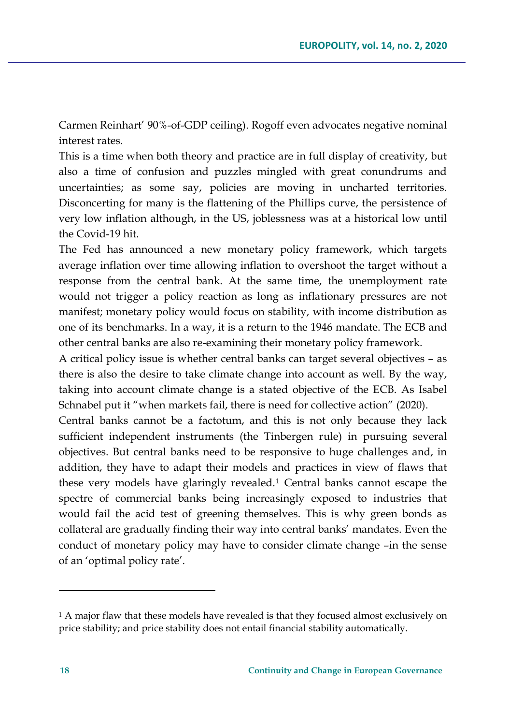Carmen Reinhart' 90%-of-GDP ceiling). Rogoff even advocates negative nominal interest rates.

This is a time when both theory and practice are in full display of creativity, but also a time of confusion and puzzles mingled with great conundrums and uncertainties; as some say, policies are moving in uncharted territories. Disconcerting for many is the flattening of the Phillips curve, the persistence of very low inflation although, in the US, joblessness was at a historical low until the Covid-19 hit.

The Fed has announced a new monetary policy framework, which targets average inflation over time allowing inflation to overshoot the target without a response from the central bank. At the same time, the unemployment rate would not trigger a policy reaction as long as inflationary pressures are not manifest; monetary policy would focus on stability, with income distribution as one of its benchmarks. In a way, it is a return to the 1946 mandate. The ECB and other central banks are also re-examining their monetary policy framework.

A critical policy issue is whether central banks can target several objectives – as there is also the desire to take climate change into account as well. By the way, taking into account climate change is a stated objective of the ECB. As Isabel Schnabel put it "when markets fail, there is need for collective action" (2020).

Central banks cannot be a factotum, and this is not only because they lack sufficient independent instruments (the Tinbergen rule) in pursuing several objectives. But central banks need to be responsive to huge challenges and, in addition, they have to adapt their models and practices in view of flaws that these very models have glaringly revealed.<sup>[1](#page-13-0)</sup> Central banks cannot escape the spectre of commercial banks being increasingly exposed to industries that would fail the acid test of greening themselves. This is why green bonds as collateral are gradually finding their way into central banks' mandates. Even the conduct of monetary policy may have to consider climate change –in the sense of an 'optimal policy rate'.

<span id="page-13-0"></span><sup>1</sup> A major flaw that these models have revealed is that they focused almost exclusively on price stability; and price stability does not entail financial stability automatically.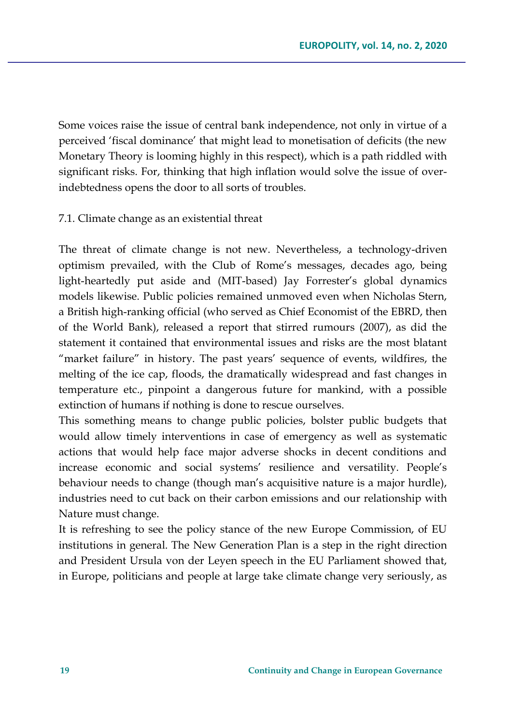Some voices raise the issue of central bank independence, not only in virtue of a perceived 'fiscal dominance' that might lead to monetisation of deficits (the new Monetary Theory is looming highly in this respect), which is a path riddled with significant risks. For, thinking that high inflation would solve the issue of overindebtedness opens the door to all sorts of troubles.

#### 7.1. Climate change as an existential threat

The threat of climate change is not new. Nevertheless, a technology-driven optimism prevailed, with the Club of Rome's messages, decades ago, being light-heartedly put aside and (MIT-based) Jay Forrester's global dynamics models likewise. Public policies remained unmoved even when Nicholas Stern, a British high-ranking official (who served as Chief Economist of the EBRD, then of the World Bank), released a report that stirred rumours (2007), as did the statement it contained that environmental issues and risks are the most blatant "market failure" in history. The past years' sequence of events, wildfires, the melting of the ice cap, floods, the dramatically widespread and fast changes in temperature etc., pinpoint a dangerous future for mankind, with a possible extinction of humans if nothing is done to rescue ourselves.

This something means to change public policies, bolster public budgets that would allow timely interventions in case of emergency as well as systematic actions that would help face major adverse shocks in decent conditions and increase economic and social systems' resilience and versatility. People's behaviour needs to change (though man's acquisitive nature is a major hurdle), industries need to cut back on their carbon emissions and our relationship with Nature must change.

It is refreshing to see the policy stance of the new Europe Commission, of EU institutions in general. The New Generation Plan is a step in the right direction and President Ursula von der Leyen speech in the EU Parliament showed that, in Europe, politicians and people at large take climate change very seriously, as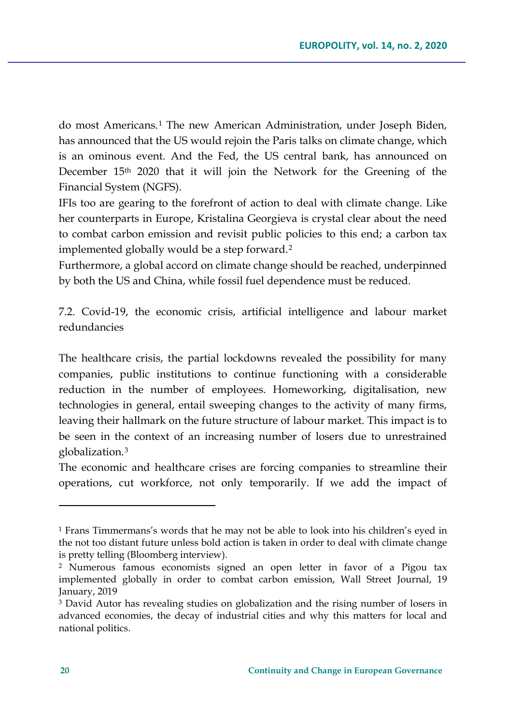do most Americans.[1](#page-15-0) The new American Administration, under Joseph Biden, has announced that the US would rejoin the Paris talks on climate change, which is an ominous event. And the Fed, the US central bank, has announced on December 15<sup>th</sup> 2020 that it will join the Network for the Greening of the Financial System (NGFS).

IFIs too are gearing to the forefront of action to deal with climate change. Like her counterparts in Europe, Kristalina Georgieva is crystal clear about the need to combat carbon emission and revisit public policies to this end; a carbon tax implemented globally would be a step forward.[2](#page-15-1)

Furthermore, a global accord on climate change should be reached, underpinned by both the US and China, while fossil fuel dependence must be reduced.

7.2. Covid-19, the economic crisis, artificial intelligence and labour market redundancies

The healthcare crisis, the partial lockdowns revealed the possibility for many companies, public institutions to continue functioning with a considerable reduction in the number of employees. Homeworking, digitalisation, new technologies in general, entail sweeping changes to the activity of many firms, leaving their hallmark on the future structure of labour market. This impact is to be seen in the context of an increasing number of losers due to unrestrained globalization.[3](#page-15-2)

The economic and healthcare crises are forcing companies to streamline their operations, cut workforce, not only temporarily. If we add the impact of

<span id="page-15-0"></span><sup>1</sup> Frans Timmermans's words that he may not be able to look into his children's eyed in the not too distant future unless bold action is taken in order to deal with climate change is pretty telling (Bloomberg interview).

<span id="page-15-1"></span><sup>2</sup> Numerous famous economists signed an open letter in favor of a Pigou tax implemented globally in order to combat carbon emission, Wall Street Journal, 19 January, 2019

<span id="page-15-2"></span><sup>3</sup> David Autor has revealing studies on globalization and the rising number of losers in advanced economies, the decay of industrial cities and why this matters for local and national politics.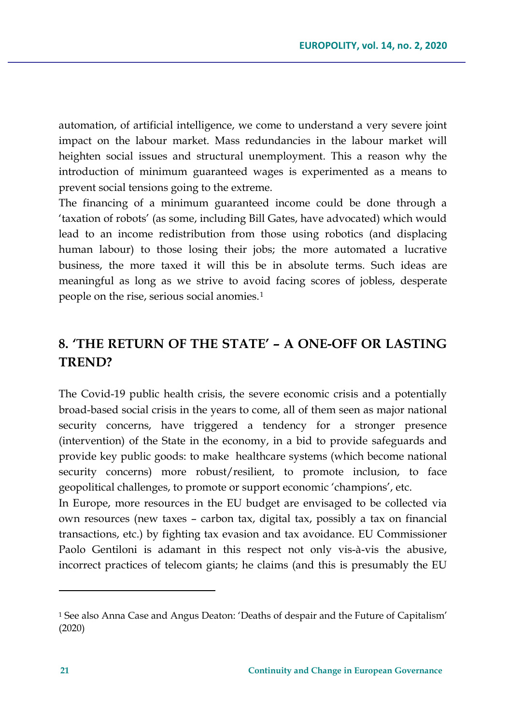automation, of artificial intelligence, we come to understand a very severe joint impact on the labour market. Mass redundancies in the labour market will heighten social issues and structural unemployment. This a reason why the introduction of minimum guaranteed wages is experimented as a means to prevent social tensions going to the extreme.

The financing of a minimum guaranteed income could be done through a 'taxation of robots' (as some, including Bill Gates, have advocated) which would lead to an income redistribution from those using robotics (and displacing human labour) to those losing their jobs; the more automated a lucrative business, the more taxed it will this be in absolute terms. Such ideas are meaningful as long as we strive to avoid facing scores of jobless, desperate people on the rise, serious social anomies.<sup>[1](#page-16-0)</sup>

# **8. 'THE RETURN OF THE STATE' – A ONE-OFF OR LASTING TREND?**

The Covid-19 public health crisis, the severe economic crisis and a potentially broad-based social crisis in the years to come, all of them seen as major national security concerns, have triggered a tendency for a stronger presence (intervention) of the State in the economy, in a bid to provide safeguards and provide key public goods: to make healthcare systems (which become national security concerns) more robust/resilient, to promote inclusion, to face geopolitical challenges, to promote or support economic 'champions', etc.

In Europe, more resources in the EU budget are envisaged to be collected via own resources (new taxes – carbon tax, digital tax, possibly a tax on financial transactions, etc.) by fighting tax evasion and tax avoidance. EU Commissioner Paolo Gentiloni is adamant in this respect not only vis-à-vis the abusive, incorrect practices of telecom giants; he claims (and this is presumably the EU

<span id="page-16-0"></span><sup>1</sup> See also Anna Case and Angus Deaton: 'Deaths of despair and the Future of Capitalism' (2020)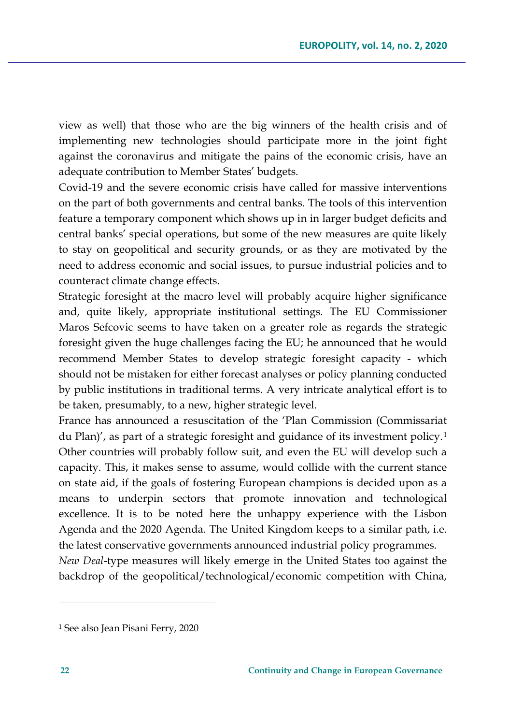view as well) that those who are the big winners of the health crisis and of implementing new technologies should participate more in the joint fight against the coronavirus and mitigate the pains of the economic crisis, have an adequate contribution to Member States' budgets.

Covid-19 and the severe economic crisis have called for massive interventions on the part of both governments and central banks. The tools of this intervention feature a temporary component which shows up in in larger budget deficits and central banks' special operations, but some of the new measures are quite likely to stay on geopolitical and security grounds, or as they are motivated by the need to address economic and social issues, to pursue industrial policies and to counteract climate change effects.

Strategic foresight at the macro level will probably acquire higher significance and, quite likely, appropriate institutional settings. The EU Commissioner Maros Sefcovic seems to have taken on a greater role as regards the strategic foresight given the huge challenges facing the EU; he announced that he would recommend Member States to develop strategic foresight capacity - which should not be mistaken for either forecast analyses or policy planning conducted by public institutions in traditional terms. A very intricate analytical effort is to be taken, presumably, to a new, higher strategic level.

France has announced a resuscitation of the 'Plan Commission (Commissariat du Plan)', as part of a strategic foresight and guidance of its investment policy.[1](#page-17-0) Other countries will probably follow suit, and even the EU will develop such a capacity. This, it makes sense to assume, would collide with the current stance on state aid, if the goals of fostering European champions is decided upon as a means to underpin sectors that promote innovation and technological excellence. It is to be noted here the unhappy experience with the Lisbon Agenda and the 2020 Agenda. The United Kingdom keeps to a similar path, i.e. the latest conservative governments announced industrial policy programmes. *New Deal*-type measures will likely emerge in the United States too against the backdrop of the geopolitical/technological/economic competition with China,

<span id="page-17-0"></span><sup>1</sup> See also Jean Pisani Ferry, 2020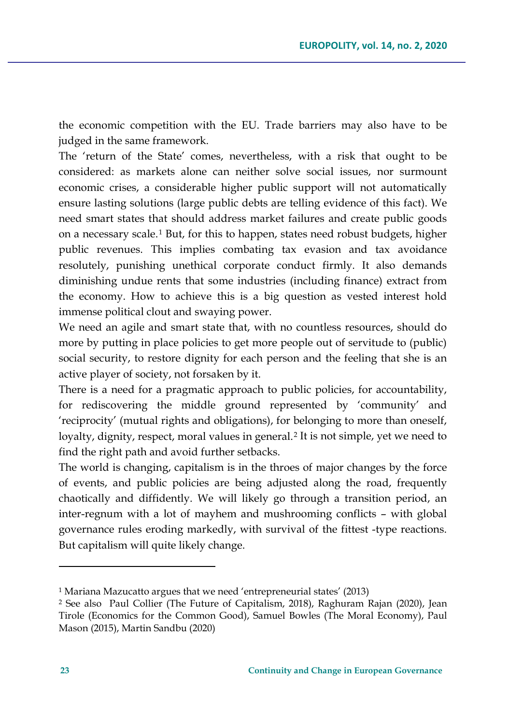the economic competition with the EU. Trade barriers may also have to be judged in the same framework.

The 'return of the State' comes, nevertheless, with a risk that ought to be considered: as markets alone can neither solve social issues, nor surmount economic crises, a considerable higher public support will not automatically ensure lasting solutions (large public debts are telling evidence of this fact). We need smart states that should address market failures and create public goods on a necessary scale.[1](#page-18-0) But, for this to happen, states need robust budgets, higher public revenues. This implies combating tax evasion and tax avoidance resolutely, punishing unethical corporate conduct firmly. It also demands diminishing undue rents that some industries (including finance) extract from the economy. How to achieve this is a big question as vested interest hold immense political clout and swaying power.

We need an agile and smart state that, with no countless resources, should do more by putting in place policies to get more people out of servitude to (public) social security, to restore dignity for each person and the feeling that she is an active player of society, not forsaken by it.

There is a need for a pragmatic approach to public policies, for accountability, for rediscovering the middle ground represented by 'community' and 'reciprocity' (mutual rights and obligations), for belonging to more than oneself, loyalty, dignity, respect, moral values in general.<sup>[2](#page-18-1)</sup> It is not simple, yet we need to find the right path and avoid further setbacks.

The world is changing, capitalism is in the throes of major changes by the force of events, and public policies are being adjusted along the road, frequently chaotically and diffidently. We will likely go through a transition period, an inter-regnum with a lot of mayhem and mushrooming conflicts – with global governance rules eroding markedly, with survival of the fittest -type reactions. But capitalism will quite likely change.

<span id="page-18-0"></span><sup>1</sup> Mariana Mazucatto argues that we need 'entrepreneurial states' (2013)

<span id="page-18-1"></span><sup>2</sup> See also Paul Collier (The Future of Capitalism, 2018), Raghuram Rajan (2020), Jean Tirole (Economics for the Common Good), Samuel Bowles (The Moral Economy), Paul Mason (2015), Martin Sandbu (2020)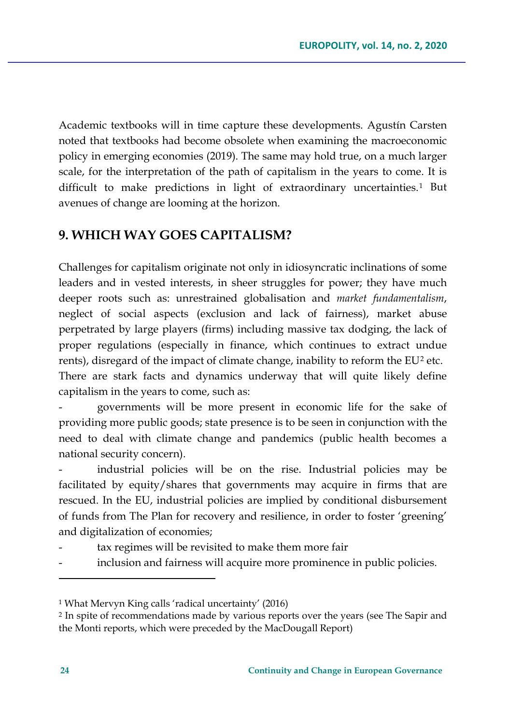Academic textbooks will in time capture these developments. Agustín Carsten noted that textbooks had become obsolete when examining the macroeconomic policy in emerging economies (2019). The same may hold true, on a much larger scale, for the interpretation of the path of capitalism in the years to come. It is difficult to make predictions in light of extraordinary uncertainties.[1](#page-19-0) But avenues of change are looming at the horizon.

## **9. WHICH WAY GOES CAPITALISM?**

Challenges for capitalism originate not only in idiosyncratic inclinations of some leaders and in vested interests, in sheer struggles for power; they have much deeper roots such as: unrestrained globalisation and *market fundamentalism*, neglect of social aspects (exclusion and lack of fairness), market abuse perpetrated by large players (firms) including massive tax dodging, the lack of proper regulations (especially in finance, which continues to extract undue rents), disregard of the impact of climate change, inability to reform the EU<sup>[2](#page-19-1)</sup> etc. There are stark facts and dynamics underway that will quite likely define capitalism in the years to come, such as:

- governments will be more present in economic life for the sake of providing more public goods; state presence is to be seen in conjunction with the need to deal with climate change and pandemics (public health becomes a national security concern).

industrial policies will be on the rise. Industrial policies may be facilitated by equity/shares that governments may acquire in firms that are rescued. In the EU, industrial policies are implied by conditional disbursement of funds from The Plan for recovery and resilience, in order to foster 'greening' and digitalization of economies;

- tax regimes will be revisited to make them more fair
- inclusion and fairness will acquire more prominence in public policies.

<span id="page-19-0"></span><sup>1</sup> What Mervyn King calls 'radical uncertainty' (2016)

<span id="page-19-1"></span><sup>2</sup> In spite of recommendations made by various reports over the years (see The Sapir and the Monti reports, which were preceded by the MacDougall Report)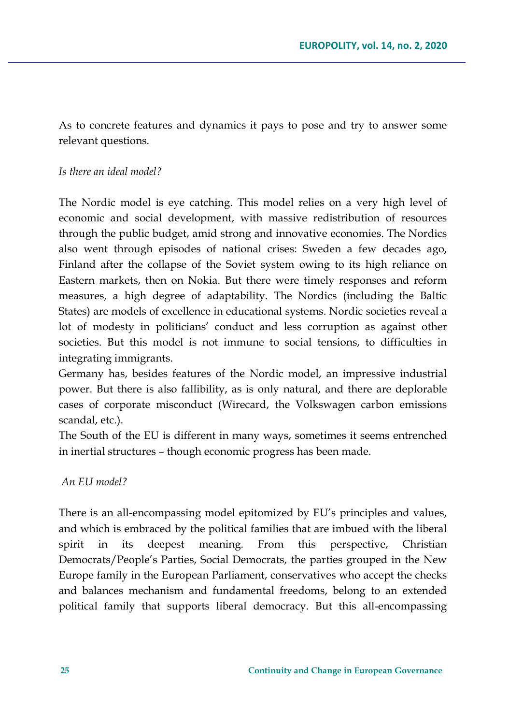As to concrete features and dynamics it pays to pose and try to answer some relevant questions.

#### *Is there an ideal model?*

The Nordic model is eye catching. This model relies on a very high level of economic and social development, with massive redistribution of resources through the public budget, amid strong and innovative economies. The Nordics also went through episodes of national crises: Sweden a few decades ago, Finland after the collapse of the Soviet system owing to its high reliance on Eastern markets, then on Nokia. But there were timely responses and reform measures, a high degree of adaptability. The Nordics (including the Baltic States) are models of excellence in educational systems. Nordic societies reveal a lot of modesty in politicians' conduct and less corruption as against other societies. But this model is not immune to social tensions, to difficulties in integrating immigrants.

Germany has, besides features of the Nordic model, an impressive industrial power. But there is also fallibility, as is only natural, and there are deplorable cases of corporate misconduct (Wirecard, the Volkswagen carbon emissions scandal, etc.).

The South of the EU is different in many ways, sometimes it seems entrenched in inertial structures – though economic progress has been made.

*An EU model?*

There is an all-encompassing model epitomized by EU's principles and values, and which is embraced by the political families that are imbued with the liberal spirit in its deepest meaning. From this perspective, Christian Democrats/People's Parties, Social Democrats, the parties grouped in the New Europe family in the European Parliament, conservatives who accept the checks and balances mechanism and fundamental freedoms, belong to an extended political family that supports liberal democracy. But this all-encompassing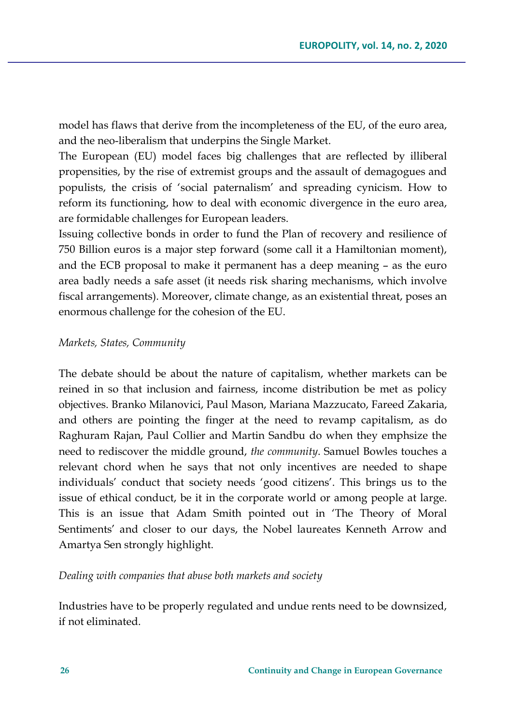model has flaws that derive from the incompleteness of the EU, of the euro area, and the neo-liberalism that underpins the Single Market.

The European (EU) model faces big challenges that are reflected by illiberal propensities, by the rise of extremist groups and the assault of demagogues and populists, the crisis of 'social paternalism' and spreading cynicism. How to reform its functioning, how to deal with economic divergence in the euro area, are formidable challenges for European leaders.

Issuing collective bonds in order to fund the Plan of recovery and resilience of 750 Billion euros is a major step forward (some call it a Hamiltonian moment), and the ECB proposal to make it permanent has a deep meaning – as the euro area badly needs a safe asset (it needs risk sharing mechanisms, which involve fiscal arrangements). Moreover, climate change, as an existential threat, poses an enormous challenge for the cohesion of the EU.

#### *Markets, States, Community*

The debate should be about the nature of capitalism, whether markets can be reined in so that inclusion and fairness, income distribution be met as policy objectives. Branko Milanovici, Paul Mason, Mariana Mazzucato, Fareed Zakaria, and others are pointing the finger at the need to revamp capitalism, as do Raghuram Rajan, Paul Collier and Martin Sandbu do when they emphsize the need to rediscover the middle ground, *the community*. Samuel Bowles touches a relevant chord when he says that not only incentives are needed to shape individuals' conduct that society needs 'good citizens'. This brings us to the issue of ethical conduct, be it in the corporate world or among people at large. This is an issue that Adam Smith pointed out in 'The Theory of Moral Sentiments' and closer to our days, the Nobel laureates Kenneth Arrow and Amartya Sen strongly highlight.

### *Dealing with companies that abuse both markets and society*

Industries have to be properly regulated and undue rents need to be downsized, if not eliminated.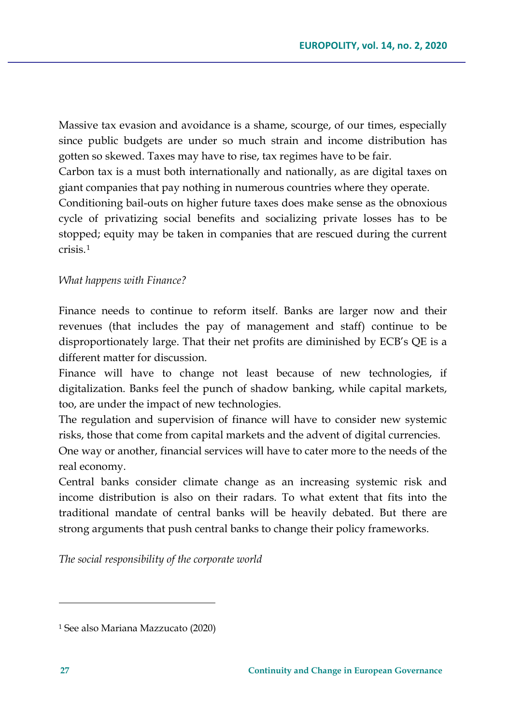Massive tax evasion and avoidance is a shame, scourge, of our times, especially since public budgets are under so much strain and income distribution has gotten so skewed. Taxes may have to rise, tax regimes have to be fair.

Carbon tax is a must both internationally and nationally, as are digital taxes on giant companies that pay nothing in numerous countries where they operate.

Conditioning bail-outs on higher future taxes does make sense as the obnoxious cycle of privatizing social benefits and socializing private losses has to be stopped; equity may be taken in companies that are rescued during the current crisis.[1](#page-22-0)

#### *What happens with Finance?*

Finance needs to continue to reform itself. Banks are larger now and their revenues (that includes the pay of management and staff) continue to be disproportionately large. That their net profits are diminished by ECB's QE is a different matter for discussion.

Finance will have to change not least because of new technologies, if digitalization. Banks feel the punch of shadow banking, while capital markets, too, are under the impact of new technologies.

The regulation and supervision of finance will have to consider new systemic risks, those that come from capital markets and the advent of digital currencies.

One way or another, financial services will have to cater more to the needs of the real economy.

Central banks consider climate change as an increasing systemic risk and income distribution is also on their radars. To what extent that fits into the traditional mandate of central banks will be heavily debated. But there are strong arguments that push central banks to change their policy frameworks.

*The social responsibility of the corporate world*

<span id="page-22-0"></span><sup>1</sup> See also Mariana Mazzucato (2020)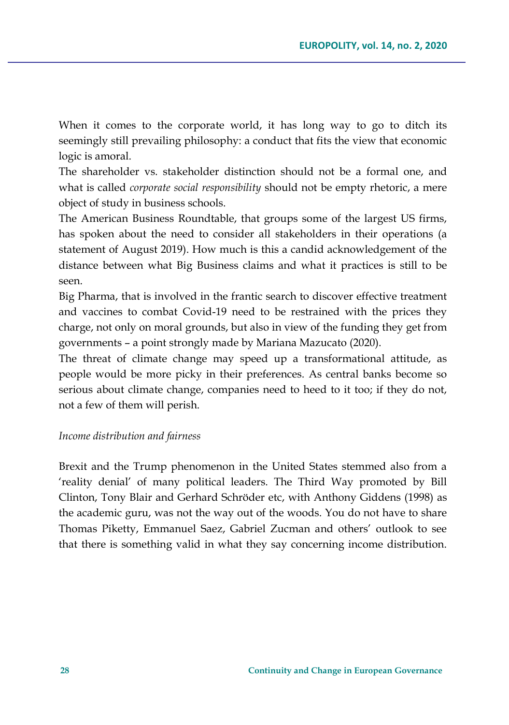When it comes to the corporate world, it has long way to go to ditch its seemingly still prevailing philosophy: a conduct that fits the view that economic logic is amoral.

The shareholder vs. stakeholder distinction should not be a formal one, and what is called *corporate social responsibility* should not be empty rhetoric, a mere object of study in business schools.

The American Business Roundtable, that groups some of the largest US firms, has spoken about the need to consider all stakeholders in their operations (a statement of August 2019). How much is this a candid acknowledgement of the distance between what Big Business claims and what it practices is still to be seen.

Big Pharma, that is involved in the frantic search to discover effective treatment and vaccines to combat Covid-19 need to be restrained with the prices they charge, not only on moral grounds, but also in view of the funding they get from governments – a point strongly made by Mariana Mazucato (2020).

The threat of climate change may speed up a transformational attitude, as people would be more picky in their preferences. As central banks become so serious about climate change, companies need to heed to it too; if they do not, not a few of them will perish.

#### *Income distribution and fairness*

Brexit and the Trump phenomenon in the United States stemmed also from a 'reality denial' of many political leaders. The Third Way promoted by Bill Clinton, Tony Blair and Gerhard Schröder etc, with Anthony Giddens (1998) as the academic guru, was not the way out of the woods. You do not have to share Thomas Piketty, Emmanuel Saez, Gabriel Zucman and others' outlook to see that there is something valid in what they say concerning income distribution.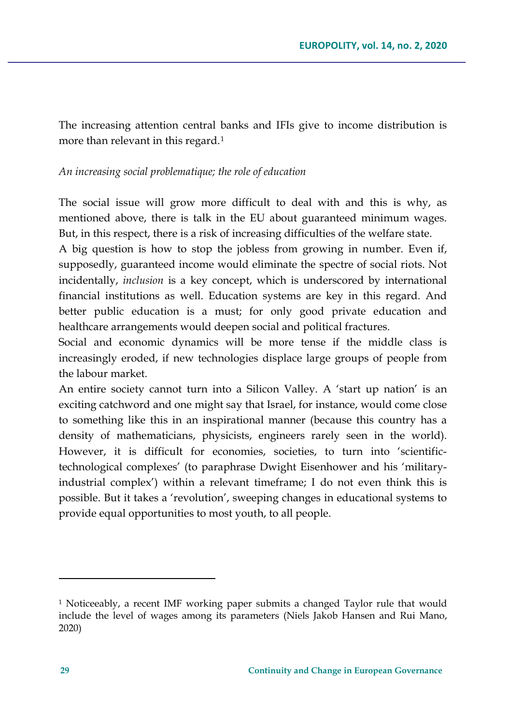The increasing attention central banks and IFIs give to income distribution is more than relevant in this regard.<sup>[1](#page-24-0)</sup>

### *An increasing social problematique; the role of education*

The social issue will grow more difficult to deal with and this is why, as mentioned above, there is talk in the EU about guaranteed minimum wages. But, in this respect, there is a risk of increasing difficulties of the welfare state.

A big question is how to stop the jobless from growing in number. Even if, supposedly, guaranteed income would eliminate the spectre of social riots. Not incidentally, *inclusion* is a key concept, which is underscored by international financial institutions as well. Education systems are key in this regard. And better public education is a must; for only good private education and healthcare arrangements would deepen social and political fractures.

Social and economic dynamics will be more tense if the middle class is increasingly eroded, if new technologies displace large groups of people from the labour market.

An entire society cannot turn into a Silicon Valley. A 'start up nation' is an exciting catchword and one might say that Israel, for instance, would come close to something like this in an inspirational manner (because this country has a density of mathematicians, physicists, engineers rarely seen in the world). However, it is difficult for economies, societies, to turn into 'scientifictechnological complexes' (to paraphrase Dwight Eisenhower and his 'militaryindustrial complex') within a relevant timeframe; I do not even think this is possible. But it takes a 'revolution', sweeping changes in educational systems to provide equal opportunities to most youth, to all people.

<span id="page-24-0"></span><sup>1</sup> Noticeeably, a recent IMF working paper submits a changed Taylor rule that would include the level of wages among its parameters (Niels Jakob Hansen and Rui Mano, 2020)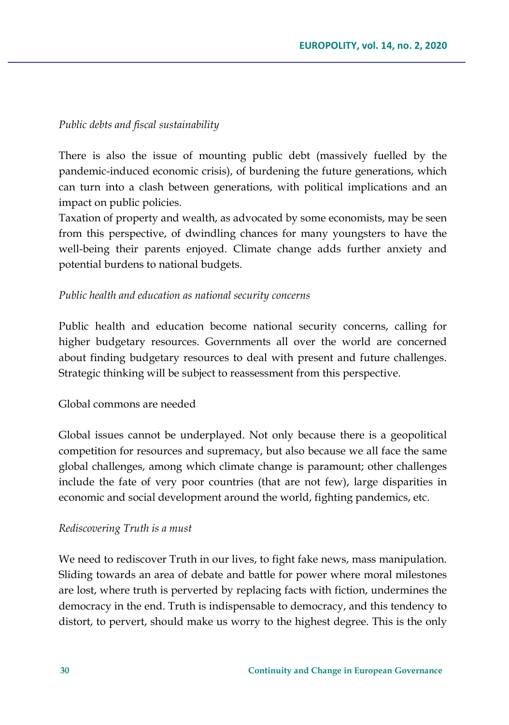### *Public debts and fiscal sustainability*

There is also the issue of mounting public debt (massively fuelled by the pandemic-induced economic crisis), of burdening the future generations, which can turn into a clash between generations, with political implications and an impact on public policies.

Taxation of property and wealth, as advocated by some economists, may be seen from this perspective, of dwindling chances for many youngsters to have the well-being their parents enjoyed. Climate change adds further anxiety and potential burdens to national budgets.

### *Public health and education as national security concerns*

Public health and education become national security concerns, calling for higher budgetary resources. Governments all over the world are concerned about finding budgetary resources to deal with present and future challenges. Strategic thinking will be subject to reassessment from this perspective.

### Global commons are needed

Global issues cannot be underplayed. Not only because there is a geopolitical competition for resources and supremacy, but also because we all face the same global challenges, among which climate change is paramount; other challenges include the fate of very poor countries (that are not few), large disparities in economic and social development around the world, fighting pandemics, etc.

#### *Rediscovering Truth is a must*

We need to rediscover Truth in our lives, to fight fake news, mass manipulation. Sliding towards an area of debate and battle for power where moral milestones are lost, where truth is perverted by replacing facts with fiction, undermines the democracy in the end. Truth is indispensable to democracy, and this tendency to distort, to pervert, should make us worry to the highest degree. This is the only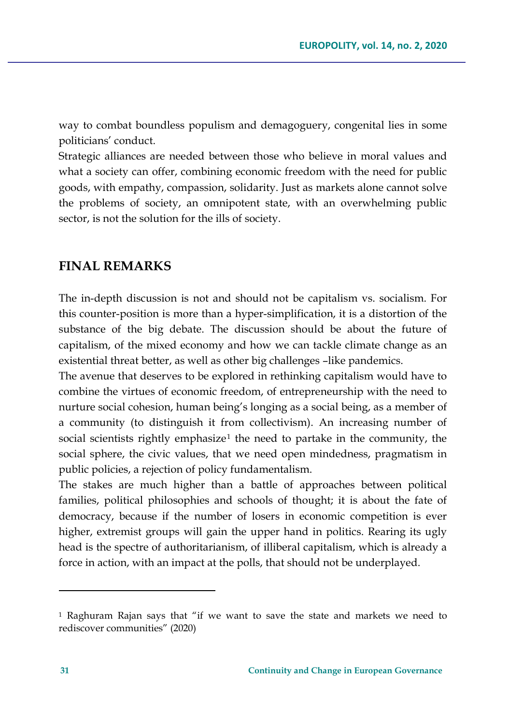way to combat boundless populism and demagoguery, congenital lies in some politicians' conduct.

Strategic alliances are needed between those who believe in moral values and what a society can offer, combining economic freedom with the need for public goods, with empathy, compassion, solidarity. Just as markets alone cannot solve the problems of society, an omnipotent state, with an overwhelming public sector, is not the solution for the ills of society.

## **FINAL REMARKS**

The in-depth discussion is not and should not be capitalism vs. socialism. For this counter-position is more than a hyper-simplification, it is a distortion of the substance of the big debate. The discussion should be about the future of capitalism, of the mixed economy and how we can tackle climate change as an existential threat better, as well as other big challenges -like pandemics.

The avenue that deserves to be explored in rethinking capitalism would have to combine the virtues of economic freedom, of entrepreneurship with the need to nurture social cohesion, human being's longing as a social being, as a member of a community (to distinguish it from collectivism). An increasing number of social scientists rightly emphasize<sup>[1](#page-26-0)</sup> the need to partake in the community, the social sphere, the civic values, that we need open mindedness, pragmatism in public policies, a rejection of policy fundamentalism.

The stakes are much higher than a battle of approaches between political families, political philosophies and schools of thought; it is about the fate of democracy, because if the number of losers in economic competition is ever higher, extremist groups will gain the upper hand in politics. Rearing its ugly head is the spectre of authoritarianism, of illiberal capitalism, which is already a force in action, with an impact at the polls, that should not be underplayed.

<span id="page-26-0"></span><sup>1</sup> Raghuram Rajan says that "if we want to save the state and markets we need to rediscover communities" (2020)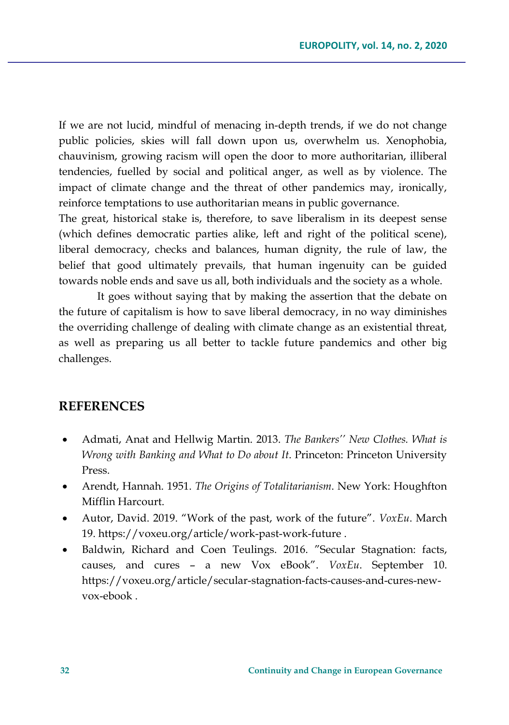If we are not lucid, mindful of menacing in-depth trends, if we do not change public policies, skies will fall down upon us, overwhelm us. Xenophobia, chauvinism, growing racism will open the door to more authoritarian, illiberal tendencies, fuelled by social and political anger, as well as by violence. The impact of climate change and the threat of other pandemics may, ironically, reinforce temptations to use authoritarian means in public governance.

The great, historical stake is, therefore, to save liberalism in its deepest sense (which defines democratic parties alike, left and right of the political scene), liberal democracy, checks and balances, human dignity, the rule of law, the belief that good ultimately prevails, that human ingenuity can be guided towards noble ends and save us all, both individuals and the society as a whole.

It goes without saying that by making the assertion that the debate on the future of capitalism is how to save liberal democracy, in no way diminishes the overriding challenge of dealing with climate change as an existential threat, as well as preparing us all better to tackle future pandemics and other big challenges.

### **REFERENCES**

- Admati, Anat and Hellwig Martin. 2013. *The Bankers'' New Clothes. What is Wrong with Banking and What to Do about It*. Princeton: Princeton University Press.
- Arendt, Hannah. 1951. *The Origins of Totalitarianism*. New York: Houghfton Mifflin Harcourt.
- Autor, David. 2019. "Work of the past, work of the future". *VoxEu*. March 19. [https://voxeu.org/article/work](https://voxeu.org/article/work-past-work-future)-past-work-future .
- Baldwin, Richard and Coen Teulings. 2016. "Secular Stagnation: facts, causes, and cures – a new Vox eBook". *VoxEu*. September 10. [https://voxeu.org/article/secular](https://voxeu.org/article/secular-stagnation-facts-causes-and-cures-new-vox-ebook)-stagnation-facts-causes-and-cures-newvox-[ebook](https://voxeu.org/article/secular-stagnation-facts-causes-and-cures-new-vox-ebook) .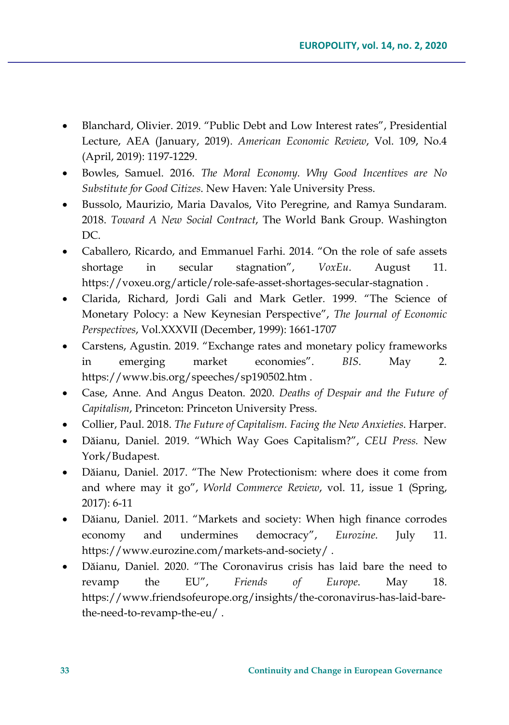- Blanchard, Olivier. 2019. "Public Debt and Low Interest rates", Presidential Lecture, AEA (January, 2019). *American Economic Review*, Vol. 109, No.4 (April, 2019): 1197-1229.
- Bowles, Samuel. 2016. *The Moral Economy. Why Good Incentives are No Substitute for Good Citizes*. New Haven: Yale University Press.
- Bussolo, Maurizio, Maria Davalos, Vito Peregrine, and Ramya Sundaram. 2018. *Toward A New Social Contract*, The World Bank Group. Washington DC.
- Caballero, Ricardo, and Emmanuel Farhi. 2014. "On the role of safe assets shortage in secular stagnation", *VoxEu*. August 11. [https://voxeu.org/article/role](https://voxeu.org/article/role-safe-asset-shortages-secular-stagnation)-safe-asset-shortages-secular-stagnation .
- Clarida, Richard, Jordi Gali and Mark Getler. 1999. "The Science of Monetary Polocy: a New Keynesian Perspective", *The Journal of Economic Perspectives*, Vol.XXXVII (December, 1999): 1661-1707
- Carstens, Agustin. 2019. "Exchange rates and monetary policy frameworks in emerging market economies". *BIS*. May 2. <https://www.bis.org/speeches/sp190502.htm> .
- Case, Anne. And Angus Deaton. 2020. *Deaths of Despair and the Future of Capitalism*, Princeton: Princeton University Press.
- Collier, Paul. 2018. *The Future of Capitalism. Facing the New Anxieties*. Harper.
- Dăianu, Daniel. 2019. "Which Way Goes Capitalism?", *CEU Press.* New York/Budapest.
- Dăianu, Daniel. 2017. "The New Protectionism: where does it come from and where may it go", *World Commerce Review*, vol. 11, issue 1 (Spring, 2017): 6-11
- Dăianu, Daniel. 2011. "Markets and society: When high finance corrodes economy and undermines democracy", *Eurozine*. July 11. [https://www.eurozine.com/markets](https://www.eurozine.com/markets-and-society/)-and-society/ .
- Dăianu, Daniel. 2020. "The Coronavirus crisis has laid bare the need to revamp the EU", *Friends of Europe*. May 18. [https://www.friendsofeurope.org/insights/the](https://www.friendsofeurope.org/insights/the-coronavirus-has-laid-bare-the-need-to-revamp-the-eu/)-coronavirus-has-laid-barethe-need-to-[revamp](https://www.friendsofeurope.org/insights/the-coronavirus-has-laid-bare-the-need-to-revamp-the-eu/)-the-eu/ .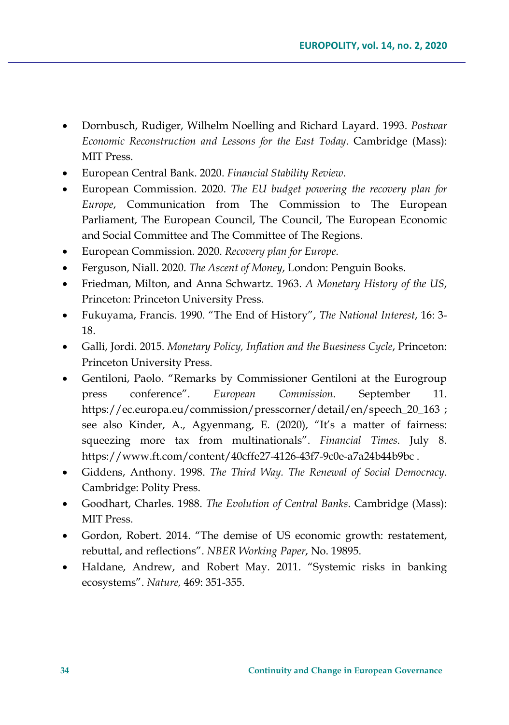- Dornbusch, Rudiger, Wilhelm Noelling and Richard Layard. 1993. *Postwar Economic Reconstruction and Lessons for the East Today*. Cambridge (Mass): MIT Press.
- European Central Bank. 2020. *Financial Stability Review.*
- European Commission. 2020. *The EU budget powering the recovery plan for Europe*, Communication from The Commission to The European Parliament, The European Council, The Council, The European Economic and Social Committee and The Committee of The Regions.
- European Commission. 2020. *Recovery plan for Europe*.
- Ferguson, Niall. 2020. *The Ascent of Money*, London: Penguin Books.
- Friedman, Milton, and Anna Schwartz. 1963. *A Monetary History of the US*, Princeton: Princeton University Press.
- Fukuyama, Francis. 1990. "The End of History", *The National Interest*, 16: 3- 18.
- Galli, Jordi. 2015. *Monetary Policy, Inflation and the Buesiness Cycle*, Princeton: Princeton University Press.
- Gentiloni, Paolo. "Remarks by Commissioner Gentiloni at the Eurogroup press conference". *European Commission*. September 11. [https://ec.europa.eu/commission/presscorner/detail/en/speech\\_20\\_163](https://ec.europa.eu/commission/presscorner/detail/en/speech_20_163) ; see also Kinder, A., Agyenmang, E. (2020), "It's a matter of fairness: squeezing more tax from multinationals". *Financial Times*. July 8. [https://www.ft.com/content/40cffe27](https://www.ft.com/content/40cffe27-4126-43f7-9c0e-a7a24b44b9bc)-4126-43f7-9c0e-a7a24b44b9bc .
- Giddens, Anthony. 1998. *The Third Way. The Renewal of Social Democracy*. Cambridge: Polity Press.
- Goodhart, Charles. 1988. *The Evolution of Central Banks*. Cambridge (Mass): MIT Press.
- Gordon, Robert. 2014. "The demise of US economic growth: restatement, rebuttal, and reflections". *NBER Working Paper*, No. 19895.
- Haldane, Andrew, and Robert May. 2011. "Systemic risks in banking ecosystems". *Nature,* 469: 351-355.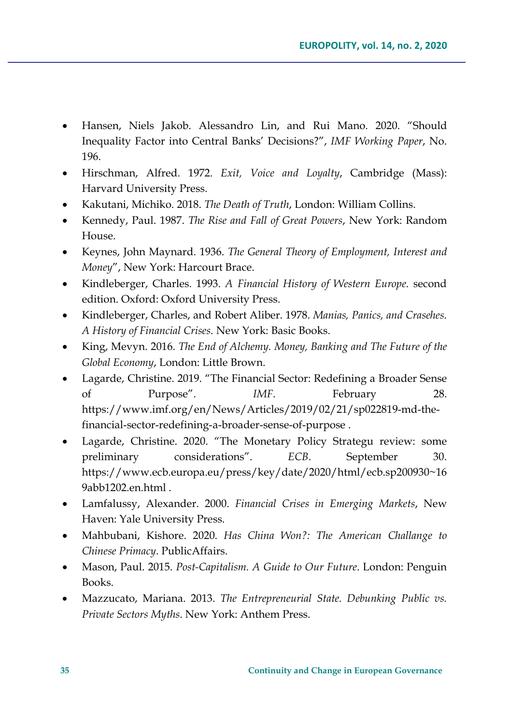- Hansen, Niels Jakob. Alessandro Lin, and Rui Mano. 2020. "Should Inequality Factor into Central Banks' Decisions?", *IMF Working Paper*, No. 196.
- Hirschman, Alfred. 1972. *Exit, Voice and Loyalty*, Cambridge (Mass): Harvard University Press.
- Kakutani, Michiko. 2018. *The Death of Truth*, London: William Collins.
- Kennedy, Paul. 1987. *The Rise and Fall of Great Powers*, New York: Random House.
- Keynes, John Maynard. 1936. *The General Theory of Employment, Interest and Money*", New York: Harcourt Brace.
- Kindleberger, Charles. 1993. *A Financial History of Western Europe*. second edition. Oxford: Oxford University Press.
- Kindleberger, Charles, and Robert Aliber. 1978. *Manias, Panics, and Crasehes. A History of Financial Crises*. New York: Basic Books.
- King, Mevyn. 2016. *The End of Alchemy. Money, Banking and The Future of the Global Economy*, London: Little Brown.
- Lagarde, Christine. 2019. "The Financial Sector: Redefining a Broader Sense of Purpose". *IMF*. February 28. https://www.imf.org/en/News/Articles/2019/02/21/sp022819-md-thefinancial-sector-redefining-a-broader-sense-of-purpose .
- Lagarde, Christine. 2020. "The Monetary Policy Strategu review: some preliminary considerations". *ECB*. September 30. [https://www.ecb.europa.eu/press/key/date/2020/html/ecb.sp200930~16](https://www.ecb.europa.eu/press/key/date/2020/html/ecb.sp200930%7E169abb1202.en.html) [9abb1202.en.html](https://www.ecb.europa.eu/press/key/date/2020/html/ecb.sp200930%7E169abb1202.en.html) .
- Lamfalussy, Alexander. 2000. *Financial Crises in Emerging Markets*, New Haven: Yale University Press.
- Mahbubani, Kishore. 2020. *Has China Won?: The American Challange to Chinese Primacy*. PublicAffairs.
- Mason, Paul. 2015. *Post-Capitalism. A Guide to Our Future*. London: Penguin Books.
- Mazzucato, Mariana. 2013. *The Entrepreneurial State. Debunking Public vs. Private Sectors Myths*. New York: Anthem Press.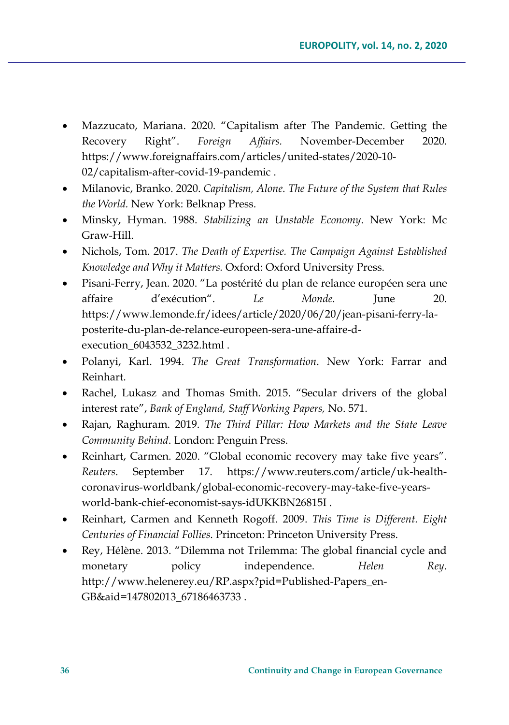- Mazzucato, Mariana. 2020. "Capitalism after The Pandemic. Getting the Recovery Right". *Foreign Affairs.* November-December 2020*.* [https://www.foreignaffairs.com/articles/united](https://www.foreignaffairs.com/articles/united-states/2020-10-02/capitalism-after-covid-19-pandemic)-states/2020-10- [02/capitalism](https://www.foreignaffairs.com/articles/united-states/2020-10-02/capitalism-after-covid-19-pandemic)-after-covid-19-pandemic .
- Milanovic, Branko. 2020. *Capitalism, Alone*. *The Future of the System that Rules the World.* New York: Belknap Press.
- Minsky, Hyman. 1988. *Stabilizing an Unstable Economy*. New York: Mc Graw-Hill.
- Nichols, Tom. 2017. *The Death of Expertise. The Campaign Against Established Knowledge and Why it Matters.* Oxford: Oxford University Press.
- Pisani-Ferry, Jean. 2020. "La postérité du plan de relance européen sera une affaire d'exécution". *Le Monde.* June 20. [https://www.lemonde.fr/idees/article/2020/06/20/jean](https://www.lemonde.fr/idees/article/2020/06/20/jean-pisani-ferry-la-posterite-du-plan-de-relance-europeen-sera-une-affaire-d-execution_6043532_3232.html)-pisani-ferry-laposterite-du-plan-de-relance-[europeen](https://www.lemonde.fr/idees/article/2020/06/20/jean-pisani-ferry-la-posterite-du-plan-de-relance-europeen-sera-une-affaire-d-execution_6043532_3232.html)-sera-une-affaire-d[execution\\_6043532\\_3232.html](https://www.lemonde.fr/idees/article/2020/06/20/jean-pisani-ferry-la-posterite-du-plan-de-relance-europeen-sera-une-affaire-d-execution_6043532_3232.html) .
- Polanyi, Karl. 1994. *The Great Transformation*. New York: Farrar and Reinhart.
- Rachel, Lukasz and Thomas Smith. 2015. "Secular drivers of the global interest rate", *Bank of England, Staff Working Papers,* No. 571.
- Rajan, Raghuram. 2019. *The Third Pillar: How Markets and the State Leave Community Behind*. London: Penguin Press.
- Reinhart, Carmen. 2020. "Global economic recovery may take five years". *Reuters*. September 17. [https://www.reuters.com/article/uk](https://www.reuters.com/article/uk-health-coronavirus-worldbank/global-economic-recovery-may-take-five-years-world-bank-chief-economist-says-idUKKBN26815I)-healthcoronavirus-[worldbank/global](https://www.reuters.com/article/uk-health-coronavirus-worldbank/global-economic-recovery-may-take-five-years-world-bank-chief-economist-says-idUKKBN26815I)-economic-recovery-may-take-five-yearsworld-bank-chief-economist-says-[idUKKBN26815I](https://www.reuters.com/article/uk-health-coronavirus-worldbank/global-economic-recovery-may-take-five-years-world-bank-chief-economist-says-idUKKBN26815I) .
- Reinhart, Carmen and Kenneth Rogoff. 2009. *This Time is Different. Eight Centuries of Financial Follies*. Princeton: Princeton University Press.
- Rey, Hélène. 2013. "Dilemma not Trilemma: The global financial cycle and monetary policy independence. *Helen Rey*. [http://www.helenerey.eu/RP.aspx?pid=Published](http://www.helenerey.eu/RP.aspx?pid=Published-Papers_en-GB&aid=147802013_67186463733)-Papers\_en-[GB&aid=147802013\\_67186463733](http://www.helenerey.eu/RP.aspx?pid=Published-Papers_en-GB&aid=147802013_67186463733) .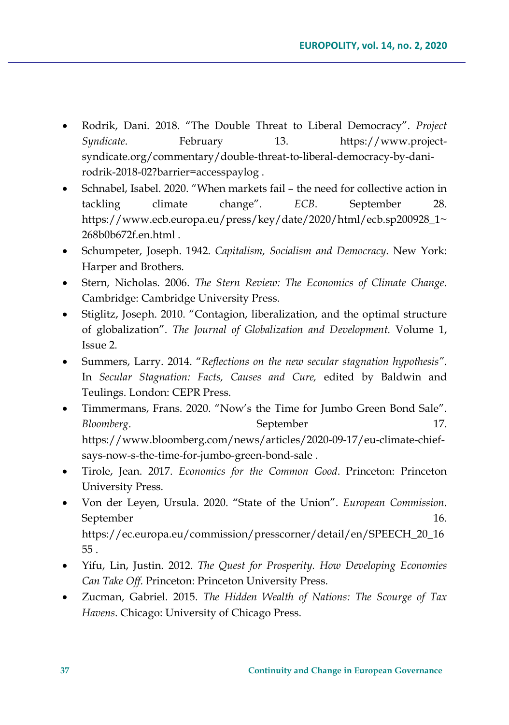- Rodrik, Dani. 2018. "The Double Threat to Liberal Democracy". *Project Syndicate*. February 13. [https://www.project](https://www.project-syndicate.org/commentary/double-threat-to-liberal-democracy-by-dani-rodrik-2018-02?barrier=accesspaylog)[syndicate.org/commentary/double](https://www.project-syndicate.org/commentary/double-threat-to-liberal-democracy-by-dani-rodrik-2018-02?barrier=accesspaylog)-threat-to-liberal-democracy-by-danirodrik-2018-[02?barrier=accesspaylog](https://www.project-syndicate.org/commentary/double-threat-to-liberal-democracy-by-dani-rodrik-2018-02?barrier=accesspaylog) .
- Schnabel, Isabel. 2020. "When markets fail the need for collective action in tackling climate change". *ECB*. September 28. [https://www.ecb.europa.eu/press/key/date/2020/html/ecb.sp200928\\_1~](https://www.ecb.europa.eu/press/key/date/2020/html/ecb.sp200928_1%7E268b0b672f.en.html) [268b0b672f.en.html](https://www.ecb.europa.eu/press/key/date/2020/html/ecb.sp200928_1%7E268b0b672f.en.html) .
- Schumpeter, Joseph. 1942. *Capitalism, Socialism and Democracy*. New York: Harper and Brothers.
- Stern, Nicholas. 2006. *The Stern Review: The Economics of Climate Change*. Cambridge: Cambridge University Press.
- Stiglitz, Joseph. 2010. "Contagion, liberalization, and the optimal structure of globalization". *The Journal of Globalization and Development.* Volume 1, Issue 2.
- Summers, Larry. 2014. "*Reflections on the new secular stagnation hypothesis"*. In *Secular Stagnation: Facts, Causes and Cure,* edited by Baldwin and Teulings. London: CEPR Press.
- Timmermans, Frans. 2020. "Now's the Time for Jumbo Green Bond Sale". *Bloomberg.* September 17. [https://www.bloomberg.com/news/articles/2020](https://www.bloomberg.com/news/articles/2020-09-17/eu-climate-chief-says-now-s-the-time-for-jumbo-green-bond-sale)-09-17/eu-climate-chiefsays-now-s-the-time-for-[jumbo](https://www.bloomberg.com/news/articles/2020-09-17/eu-climate-chief-says-now-s-the-time-for-jumbo-green-bond-sale)-green-bond-sale .
- Tirole, Jean. 2017. *Economics for the Common Good*. Princeton: Princeton University Press.
- Von der Leyen, Ursula. 2020. "State of the Union". *European Commission*. September 16. [https://ec.europa.eu/commission/presscorner/detail/en/SPEECH\\_20\\_16](https://ec.europa.eu/commission/presscorner/detail/en/SPEECH_20_1655) [55](https://ec.europa.eu/commission/presscorner/detail/en/SPEECH_20_1655) .
- Yifu, Lin, Justin. 2012. *The Quest for Prosperity. How Developing Economies Can Take Off*. Princeton: Princeton University Press.
- Zucman, Gabriel. 2015. *The Hidden Wealth of Nations: The Scourge of Tax Havens*. Chicago: University of Chicago Press.